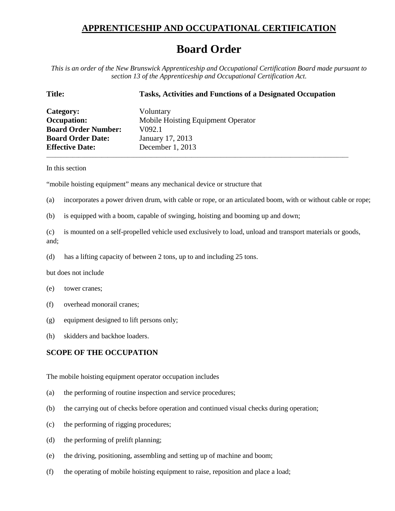## **APPRENTICESHIP AND OCCUPATIONAL CERTIFICATION**

## **Board Order**

*This is an order of the New Brunswick Apprenticeship and Occupational Certification Board made pursuant to section 13 of the Apprenticeship and Occupational Certification Act.*

| <b>Title:</b>              | <b>Tasks, Activities and Functions of a Designated Occupation</b> |
|----------------------------|-------------------------------------------------------------------|
| Category:                  | Voluntary                                                         |
| <b>Occupation:</b>         | Mobile Hoisting Equipment Operator                                |
| <b>Board Order Number:</b> | V <sub>092</sub> .1                                               |
| <b>Board Order Date:</b>   | January 17, 2013                                                  |
| <b>Effective Date:</b>     | December 1, 2013                                                  |

In this section

"mobile hoisting equipment" means any mechanical device or structure that

(a) incorporates a power driven drum, with cable or rope, or an articulated boom, with or without cable or rope;

\_\_\_\_\_\_\_\_\_\_\_\_\_\_\_\_\_\_\_\_\_\_\_\_\_\_\_\_\_\_\_\_\_\_\_\_\_\_\_\_\_\_\_\_\_\_\_\_\_\_\_\_\_\_\_\_\_\_\_\_\_\_\_\_\_\_\_\_\_\_\_\_\_\_\_\_\_\_\_\_\_\_\_\_\_\_\_\_\_\_\_\_\_\_\_\_\_\_\_\_\_\_\_\_

(b) is equipped with a boom, capable of swinging, hoisting and booming up and down;

(c) is mounted on a self-propelled vehicle used exclusively to load, unload and transport materials or goods, and;

(d) has a lifting capacity of between 2 tons, up to and including 25 tons.

but does not include

- (e) tower cranes;
- (f) overhead monorail cranes;
- (g) equipment designed to lift persons only;
- (h) skidders and backhoe loaders.

## **SCOPE OF THE OCCUPATION**

The mobile hoisting equipment operator occupation includes

- (a) the performing of routine inspection and service procedures;
- (b) the carrying out of checks before operation and continued visual checks during operation;
- (c) the performing of rigging procedures;
- (d) the performing of prelift planning;
- (e) the driving, positioning, assembling and setting up of machine and boom;
- (f) the operating of mobile hoisting equipment to raise, reposition and place a load;